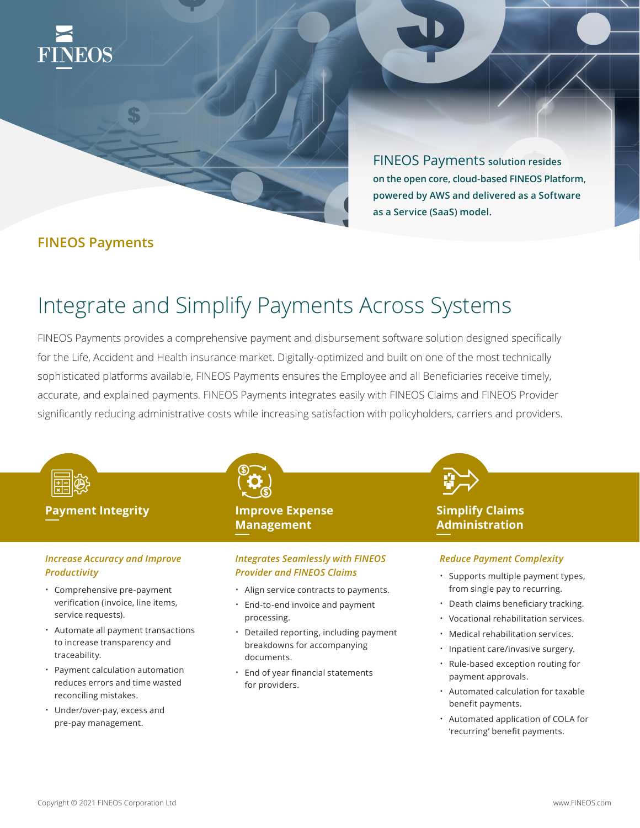

FINEOS Payments **solution resides on the open core, cloud-based FINEOS Platform, powered by AWS and delivered as a Software as a Service (SaaS) model.** 

## **FINEOS Payments**

# Integrate and Simplify Payments Across Systems

FINEOS Payments provides a comprehensive payment and disbursement software solution designed specifically for the Life, Accident and Health insurance market. Digitally-optimized and built on one of the most technically sophisticated platforms available, FINEOS Payments ensures the Employee and all Beneficiaries receive timely, accurate, and explained payments. FINEOS Payments integrates easily with FINEOS Claims and FINEOS Provider significantly reducing administrative costs while increasing satisfaction with policyholders, carriers and providers.



## *Increase Accuracy and Improve Productivity*

- Comprehensive pre-payment verification (invoice, line items, service requests).
- Automate all payment transactions to increase transparency and traceability.
- Payment calculation automation reduces errors and time wasted reconciling mistakes.
- Under/over-pay, excess and pre-pay management.

# **Management**

## *Integrates Seamlessly with FINEOS Provider and FINEOS Claims*

- Align service contracts to payments.
- End-to-end invoice and payment processing.
- Detailed reporting, including payment breakdowns for accompanying documents.
- End of year financial statements for providers.

## **Simplify Claims Administration**

## *Reduce Payment Complexity*

- Supports multiple payment types, from single pay to recurring.
- Death claims beneficiary tracking.
- Vocational rehabilitation services.
- Medical rehabilitation services.
- Inpatient care/invasive surgery.
- Rule-based exception routing for payment approvals.
- Automated calculation for taxable benefit payments.
- Automated application of COLA for 'recurring' benefit payments.